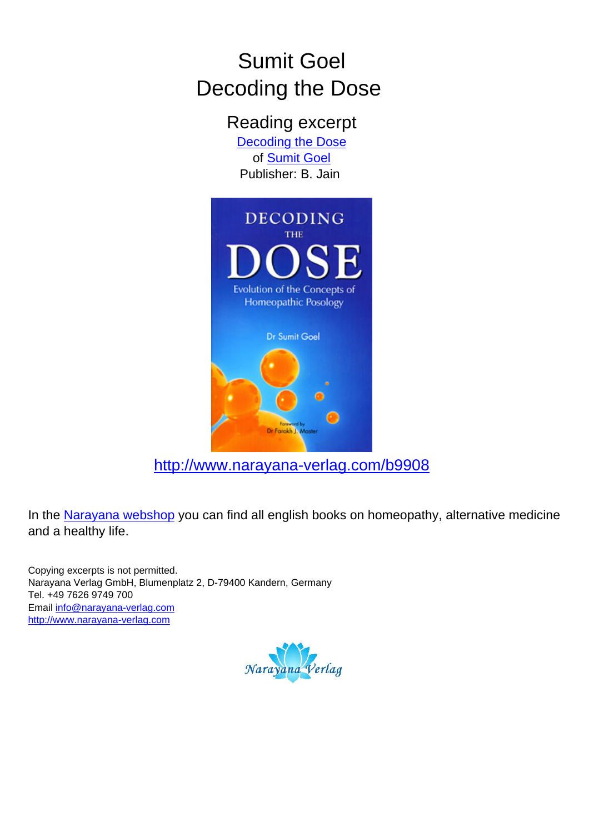# Sumit Goel Decoding the Dose

Reading excerpt

[Decoding the Dose](http://www.narayana-verlag.com/Decoding-the-Dose-Sumit-Goel/b9908/partner/leseprobe) of [Sumit Goel](http://www.narayana-verlag.com/Sumit-Goel/a1803/partner/leseprobe) Publisher: B. Jain



[http://www.narayana-verlag.com/b9908](http://www.narayana-verlag.com/Decoding-the-Dose-Sumit-Goel/b9908/partner/leseprobe)

In the [Narayana webshop](http://www.narayana-verlag.com/partner/leseprobe) you can find all english books on homeopathy, alternative medicine and a healthy life.

Copying excerpts is not permitted. Narayana Verlag GmbH, Blumenplatz 2, D-79400 Kandern, Germany Tel. +49 7626 9749 700 Email [info@narayana-verlag.com](mailto:info@narayana-verlag.com) [http://www.narayana-verlag.com](http://www.narayana-verlag.com/partner/leseprobe)

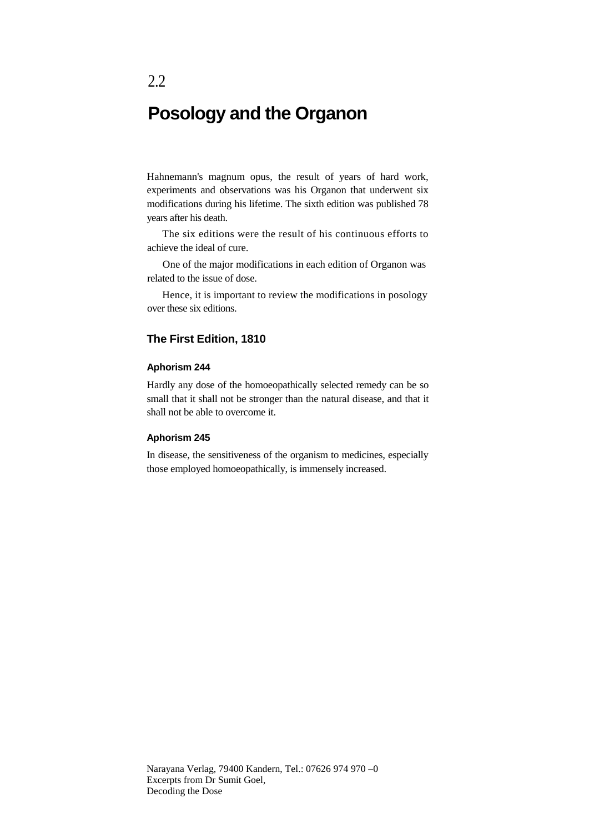# **Posology and the Organon**

Hahnemann's magnum opus, the result of years of hard work, experiments and observations was his Organon that underwent six modifications during his lifetime. The sixth edition was published 78 years after his death.

The six editions were the result of his continuous efforts to achieve the ideal of cure.

One of the major modifications in each edition of Organon was related to the issue of dose.

Hence, it is important to review the modifications in posology over these six editions.

#### **The First Edition, 1810**

#### **Aphorism 244**

Hardly any dose of the homoeopathically selected remedy can be so small that it shall not be stronger than the natural disease, and that it shall not be able to overcome it.

#### **Aphorism 245**

In disease, the sensitiveness of the organism to medicines, especially those employed homoeopathically, is immensely increased.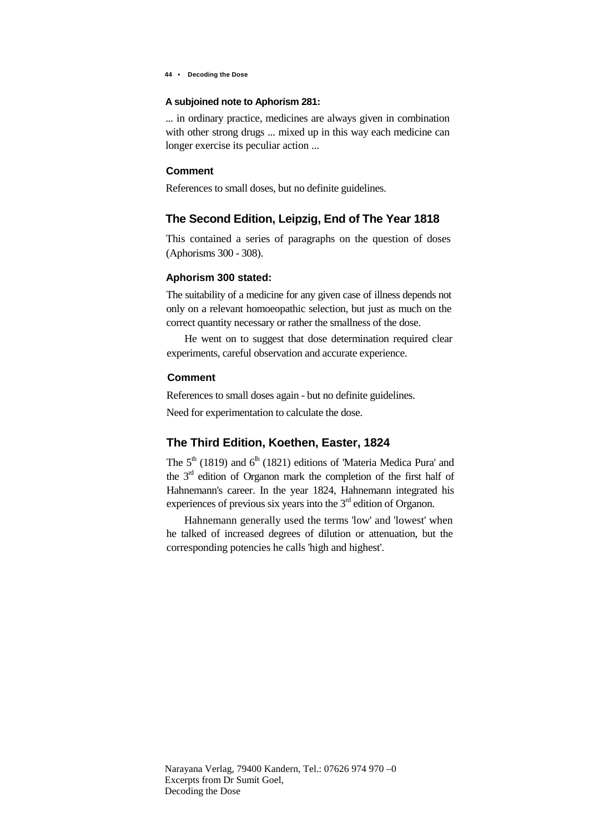**44 • Decoding the Dose**

#### **A subjoined note to Aphorism 281:**

... in ordinary practice, medicines are always given in combination with other strong drugs ... mixed up in this way each medicine can longer exercise its peculiar action ...

#### **Comment**

References to small doses, but no definite guidelines.

## **The Second Edition, Leipzig, End of The Year 1818**

This contained a series of paragraphs on the question of doses (Aphorisms 300 - 308).

#### **Aphorism 300 stated:**

The suitability of a medicine for any given case of illness depends not only on a relevant homoeopathic selection, but just as much on the correct quantity necessary or rather the smallness of the dose.

He went on to suggest that dose determination required clear experiments, careful observation and accurate experience.

#### **Comment**

References to small doses again - but no definite guidelines.

Need for experimentation to calculate the dose.

# **The Third Edition, Koethen, Easter, 1824**

The  $5<sup>th</sup>$  (1819) and  $6<sup>th</sup>$  (1821) editions of 'Materia Medica Pura' and the  $3<sup>rd</sup>$  edition of Organon mark the completion of the first half of Hahnemann's career. In the year 1824, Hahnemann integrated his experiences of previous six years into the  $3<sup>rd</sup>$  edition of Organon.

Hahnemann generally used the terms 'low' and 'lowest' when he talked of increased degrees of dilution or attenuation, but the corresponding potencies he calls 'high and highest'.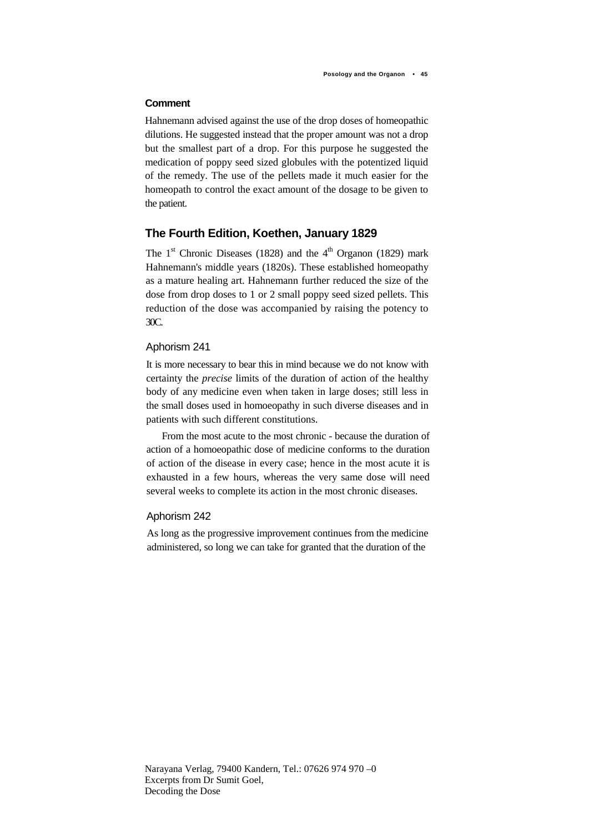#### **Comment**

Hahnemann advised against the use of the drop doses of homeopathic dilutions. He suggested instead that the proper amount was not a drop but the smallest part of a drop. For this purpose he suggested the medication of poppy seed sized globules with the potentized liquid of the remedy. The use of the pellets made it much easier for the homeopath to control the exact amount of the dosage to be given to the patient.

## **The Fourth Edition, Koethen, January 1829**

The  $1<sup>st</sup>$  Chronic Diseases (1828) and the  $4<sup>th</sup>$  Organon (1829) mark Hahnemann's middle years (1820s). These established homeopathy as a mature healing art. Hahnemann further reduced the size of the dose from drop doses to 1 or 2 small poppy seed sized pellets. This reduction of the dose was accompanied by raising the potency to 30C.

#### Aphorism 241

It is more necessary to bear this in mind because we do not know with certainty the *precise* limits of the duration of action of the healthy body of any medicine even when taken in large doses; still less in the small doses used in homoeopathy in such diverse diseases and in patients with such different constitutions.

From the most acute to the most chronic - because the duration of action of a homoeopathic dose of medicine conforms to the duration of action of the disease in every case; hence in the most acute it is exhausted in a few hours, whereas the very same dose will need several weeks to complete its action in the most chronic diseases.

#### Aphorism 242

As long as the progressive improvement continues from the medicine administered, so long we can take for granted that the duration of the

Narayana Verlag, 79400 Kandern, Tel.: 07626 974 970 –0 Excerpts from Dr Sumit Goel, Decoding the Dose